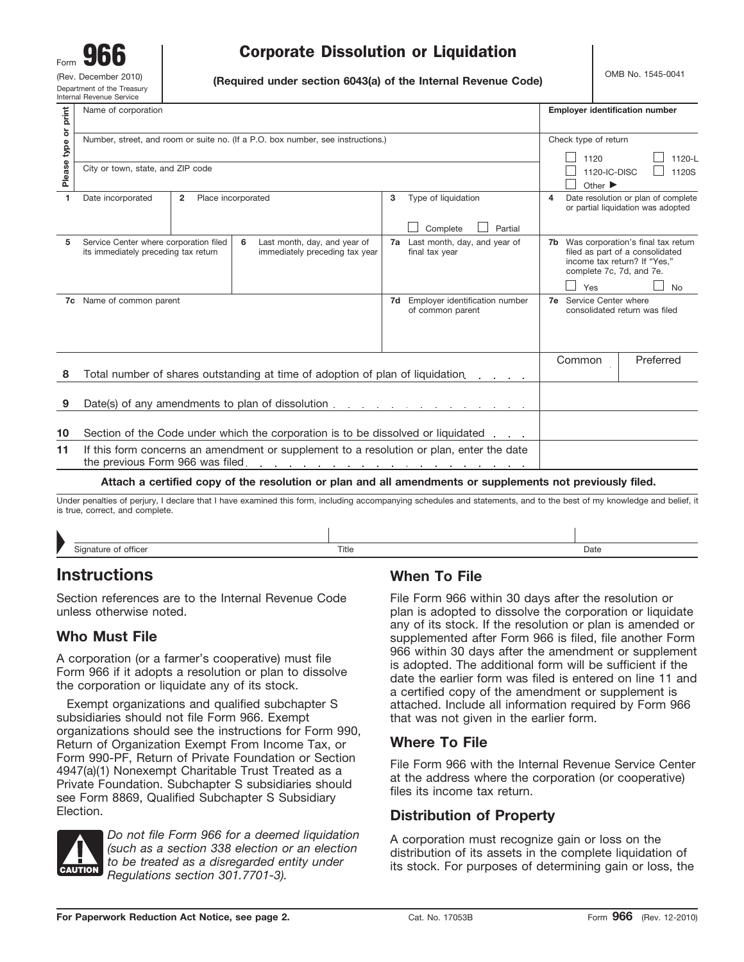# $\begin{array}{c|c|c|c|c} \hline \text{Form} & \textbf{G66} & \textbf{Corporate Dissolution or Liquidation} \ \text{Gev. December 2010} & \text{Gr.} & \text{Gr.} & \text{Gr.} & \text{Gr.} & \text{Gr.} & \text{Gr.} & \text{Gr.} & \text{Gr.} & \text{Gr.} & \text{Gr.} & \text{Gr.} & \text{Gr.} & \text{Gr.} & \text{Gr.} & \text{Gr.} & \text{Gr.} & \text{Gr.} & \text{Gr.} & \text{Gr.} & \text{Gr.} & \text{Gr.} & \text{Gr.} & \text$

(Rev. December 2010) **(Required under section 6043(a) of the Internal Revenue Code)** OMB No. 1545-0041 (Department of the Treasury

| print          | Name of corporation                                                                                                                                                                                                               |                                                          | <b>Employer identification number</b>                                                                                                |
|----------------|-----------------------------------------------------------------------------------------------------------------------------------------------------------------------------------------------------------------------------------|----------------------------------------------------------|--------------------------------------------------------------------------------------------------------------------------------------|
|                | Number, street, and room or suite no. (If a P.O. box number, see instructions.)                                                                                                                                                   |                                                          | Check type of return                                                                                                                 |
| Please type or | City or town, state, and ZIP code                                                                                                                                                                                                 |                                                          | 1120<br>1120-L<br>1120S<br>1120-IC-DISC<br>Other $\blacktriangleright$                                                               |
| 1              | Place incorporated<br>Date incorporated<br>$\overline{2}$                                                                                                                                                                         | Type of liquidation<br>3                                 | Date resolution or plan of complete<br>4<br>or partial liquidation was adopted                                                       |
|                |                                                                                                                                                                                                                                   | Complete<br>Partial                                      |                                                                                                                                      |
| 5              | Service Center where corporation filed<br>6<br>Last month, day, and year of<br>its immediately preceding tax return<br>immediately preceding tax year                                                                             | Last month, day, and year of<br>7а<br>final tax year     | 7b Was corporation's final tax return<br>filed as part of a consolidated<br>income tax return? If "Yes,"<br>complete 7c, 7d, and 7e. |
|                |                                                                                                                                                                                                                                   |                                                          | Yes<br><b>No</b>                                                                                                                     |
|                | 7c Name of common parent                                                                                                                                                                                                          | Employer identification number<br>7d<br>of common parent | <b>7e</b> Service Center where<br>consolidated return was filed                                                                      |
|                |                                                                                                                                                                                                                                   |                                                          | Common<br>Preferred                                                                                                                  |
| 8              | Total number of shares outstanding at time of adoption of plan of liquidation.                                                                                                                                                    |                                                          |                                                                                                                                      |
| 9              |                                                                                                                                                                                                                                   |                                                          |                                                                                                                                      |
| 10             | Section of the Code under which the corporation is to be dissolved or liquidated                                                                                                                                                  |                                                          |                                                                                                                                      |
| 11             | If this form concerns an amendment or supplement to a resolution or plan, enter the date                                                                                                                                          |                                                          |                                                                                                                                      |
|                | Attach a certified copy of the resolution or plan and all amendments or supplements not previously filed.                                                                                                                         |                                                          |                                                                                                                                      |
|                | $\mathbf{r}$ . The contract of the contract of the contract of the contract of the contract of the contract of the contract of the contract of the contract of the contract of the contract of the contract of the contract of th |                                                          |                                                                                                                                      |

Under penalties of perjury, I declare that I have examined this form, including accompanying schedules and statements, and to the best of my knowledge and belief, it is true, correct, and complete.

| Signature of officer | Title | Date |
|----------------------|-------|------|

# **Instructions**

Section references are to the Internal Revenue Code unless otherwise noted.

# **Who Must File**

A corporation (or a farmer's cooperative) must file Form 966 if it adopts a resolution or plan to dissolve the corporation or liquidate any of its stock.

Exempt organizations and qualified subchapter S subsidiaries should not file Form 966. Exempt organizations should see the instructions for Form 990, Return of Organization Exempt From Income Tax, or Form 990-PF, Return of Private Foundation or Section 4947(a)(1) Nonexempt Charitable Trust Treated as a Private Foundation. Subchapter S subsidiaries should see Form 8869, Qualified Subchapter S Subsidiary Election.



*Do not file Form 966 for a deemed liquidation (such as a section 338 election or an election to be treated as a disregarded entity under Regulations section 301.7701-3).*

## **When To File**

File Form 966 within 30 days after the resolution or plan is adopted to dissolve the corporation or liquidate any of its stock. If the resolution or plan is amended or supplemented after Form 966 is filed, file another Form 966 within 30 days after the amendment or supplement is adopted. The additional form will be sufficient if the date the earlier form was filed is entered on line 11 and a certified copy of the amendment or supplement is attached. Include all information required by Form 966 that was not given in the earlier form.

## **Where To File**

File Form 966 with the Internal Revenue Service Center at the address where the corporation (or cooperative) files its income tax return.

## **Distribution of Property**

A corporation must recognize gain or loss on the distribution of its assets in the complete liquidation of its stock. For purposes of determining gain or loss, the